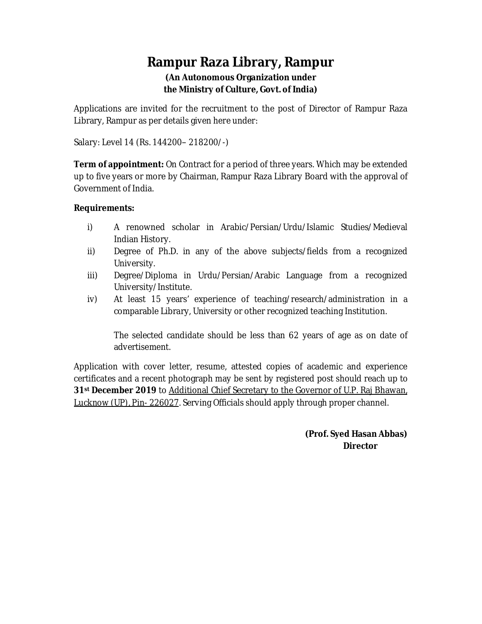## **Rampur Raza Library, Rampur**

#### **(An Autonomous Organization under the Ministry of Culture, Govt. of India)**

Applications are invited for the recruitment to the post of Director of Rampur Raza Library, Rampur as per details given here under:

Salary: Level 14 (Rs. 144200– 218200/-)

**Term of appointment:** On Contract for a period of three years. Which may be extended up to five years or more by Chairman, Rampur Raza Library Board with the approval of Government of India.

#### **Requirements:**

- i) A renowned scholar in Arabic/Persian/Urdu/Islamic Studies/Medieval Indian History.
- ii) Degree of Ph.D. in any of the above subjects/fields from a recognized University.
- iii) Degree/Diploma in Urdu/Persian/Arabic Language from a recognized University/Institute.
- iv) At least 15 years' experience of teaching/research/administration in a comparable Library, University or other recognized teaching Institution.

The selected candidate should be less than 62 years of age as on date of advertisement.

Application with cover letter, resume, attested copies of academic and experience certificates and a recent photograph may be sent by registered post should reach up to **31st December 2019** to Additional Chief Secretary to the Governor of U.P. Raj Bhawan, Lucknow (UP), Pin- 226027. Serving Officials should apply through proper channel.

> **(Prof. Syed Hasan Abbas) Director**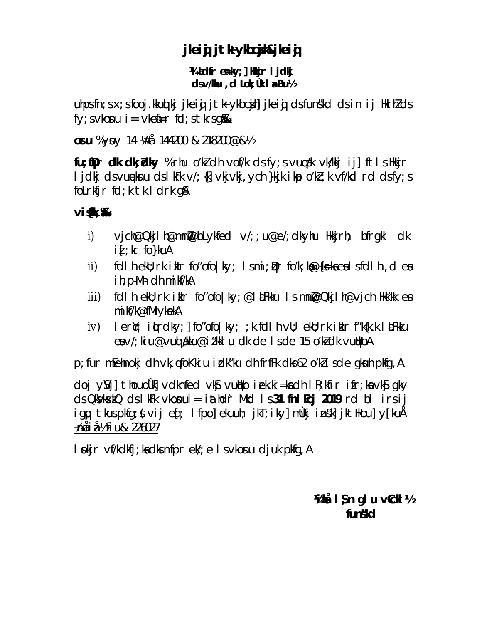# jkeij jtk ykbcjh&jkeij

### Vi hdfr eaky; | Hkjr I jdkj dsv/khu , d Lok; Uk I xBu1/2

uhps fn; s  $x$ ; s fooj. kkud kj jkeid j t k ykbc $\phi$ h jkeid ds funskd ds in ij Hkrhlds  $fy$ ; s vkonu i = vkei = r fd; s tkrs g &

oru % yoy 14 #å 144200 & 218200@&h

 $f\mathbf{u}$ ;  $\mathbf{\hat{p}}$ r dk dk; dky % rhu o'k dh vof/k ds fy; s vu $\mathbf{\hat{p}}$ k vk/kkj ij] ft Is Hkkjr I jdkj dsvupknu ds I kFk v/; {k] vkjvkj, ych }kjk i kp o'kl; k vf/kd rd dsfy; s folrkfir fd; k tk I drk q&

## vi **{k, %**

- vich@Qkjlh@mni@bLykfed v/;;u@e/;dkyhu Hkirh; bfrgkl  $\mathsf{I}$  $dk$  $i\bar{j}$ ; kr fo}kuA
- fdl heku; rk ikir fo"ofo | ky; Ismi; Dir fo'k; ko@{ks=ka ea Isfdl h, d ea  $\mathsf{ii}$ ) ih, p-Mh ch mikf/kA
- fdl h ekU; rk ikIr fo"ofo | ky; @ | kLFkku Ismnk@ Okj | h@ vj ch Hkk'kk ea iii) mi kf/k@fMIykekA
- ler(); ittrdky; corofolky; ; k fdl h vU; ekU; rk itlr f "k{k.k l t Ekku  $\mathsf{iv}$ eav/; ki u@vud akku@i i'kkl u dk de Isde 15 o'kl dk vudkoA

p; fur memoki dh vk; qfo Kki u i dk''ku dh frffk dks 62 o'kl s de gkuh pkfg, A

doj ysvil thouoùk vdknfed vks vutko iek.ki=kadh I R; kir ifr; ka vks qky  $ds$  QkVkxkQ  $ds$  I kFk vkonui = iathdr Mkd Is 31 fn I Ecj 2019 rd bl irsij igp tkuspkfg; (vij eq ; lfpo] ekuuh; jkT; iky] mÙkj insk] jktHkou] y[kuÅ 1måiå½fiu& 226027

I pkjr vf/kdkfj; kadksmfpr ek/; e I svkonu djuk pkfq, A

## Vibå I §n glu vCckl ½ funskd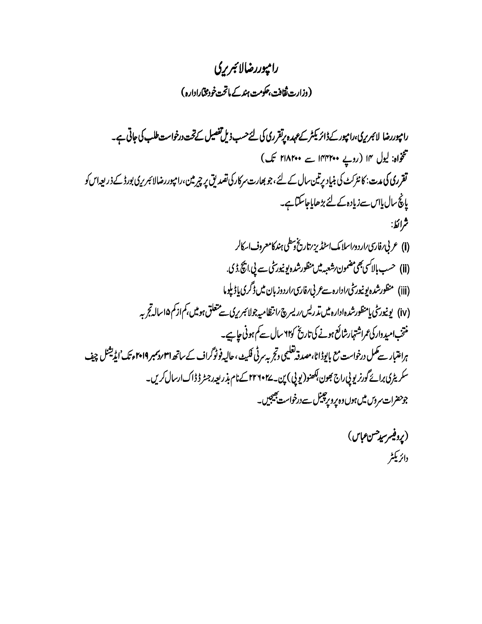# رامپوررضالائبرىرى ( وزارت ثقافت،حکومت ہند کے ماتحت خودمخیارادارہ )

رامپوررضا لائبر ری ،رامپور کے ڈائریکٹر کے عہدہ پرتقرری کی لئے حسب ذیل تفصیل کے تحت درخواست طلب کی جاتی ہے۔ متخواہ: لیول ۱۲ (روپے ۱۳۴۲۰۰ سے ۲۱۸۲۰۰ تک) تقرری کی مدت: کانٹرکٹ کی بنیاد پرتین سال کے لئے ،جو بھارت سرکار کی تصدیق پر چیر مین،رامپوررضالا ئبریری بورڈ کے ذریعہ اس کو یانچ سال پاس سےزیادہ کے لئے بڑھاپاجاسکتاہے۔ شرائط: (i) عربي/فارس/اردو/اسلامك\سٹڈيز/تاریخ دسطی ہند کامعروف|سکالر (ii) حسب بالاکسی بھی مضمون رشعبہ میں منظور شدہ یونیورسٹی سے پی اچ ڈی. (iii) منظورشده یو نیورسی/اداره سے عربی/فارس/اردوز بان میں ڈگری یاڈیلوما (iv) پونیورسی پامنظورشدهاداره میں تدریس ریسرچ رانتظامیہ جولائبریری سے متعلق ہومیں بم از کم ۱۵سالہ تجربہ منتخب امید دارکی عمراشتہارشائع ہونے کی تاریخ ک<sup>ی</sup>ا1سال سے کم ہونی جاہیے۔ ہراعتبار سے مکمل درخواست مع بابوڈاٹا،مصدقہ تعلیمی وتجربہ سرٹی فکیٹ ،حالیہ فوٹوگراف کے ساتھ اس رسمبر ۲۰۱۹ء تک'ایڈیشنل چیف سکریٹری برائے گورنریو پی راج بھون بکھنو(یوپی) پن۔۱۲۶۲۰۲ کے نام بذریعہ رجنرڈ ڈاک ارسال کریں۔ جوحفرات سروس میں ہوں وہ پروپر چینل سے درخواست جیجیں۔

> (پروفیسرسیدحسن عباس) دائريكثر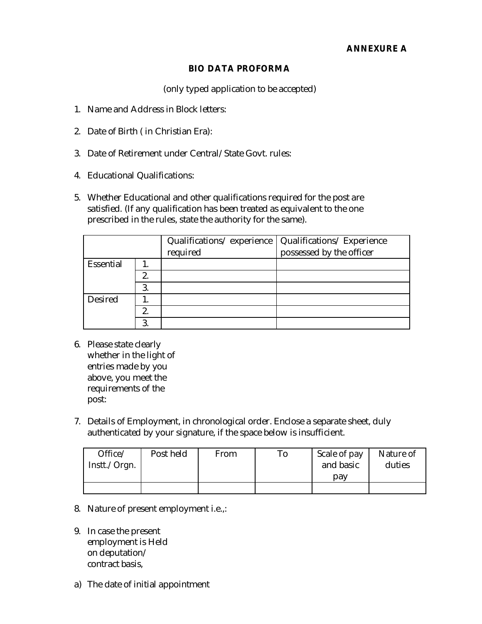#### **ANNEXURE A**

#### **BIO DATA PROFORMA**

(only typed application to be accepted)

- 1. Name and Address in Block letters:
- 2. Date of Birth ( in Christian Era):
- 3. Date of Retirement under Central/State Govt. rules:
- 4. Educational Qualifications:
- 5. Whether Educational and other qualifications required for the post are satisfied. (If any qualification has been treated as equivalent to the one prescribed in the rules, state the authority for the same).

|                |    | Qualifications/experience<br>required | Qualifications/Experience<br>possessed by the officer |
|----------------|----|---------------------------------------|-------------------------------------------------------|
| Essential      |    |                                       |                                                       |
|                | 2. |                                       |                                                       |
|                | 3. |                                       |                                                       |
| <b>Desired</b> |    |                                       |                                                       |
|                | 2. |                                       |                                                       |
|                |    |                                       |                                                       |

- 6. Please state clearly whether in the light of entries made by you above, you meet the requirements of the post:
- 7. Details of Employment, in chronological order. Enclose a separate sheet, duly authenticated by your signature, if the space below is insufficient.

| Office/<br>Instt./Orgn. | Post held | From | Scale of pay<br>and basic | Nature of<br>duties |
|-------------------------|-----------|------|---------------------------|---------------------|
|                         |           |      | pav                       |                     |
|                         |           |      |                           |                     |

- 8. Nature of present employment i.e.,:
- 9. In case the present employment is Held on deputation/ contract basis,
- a) The date of initial appointment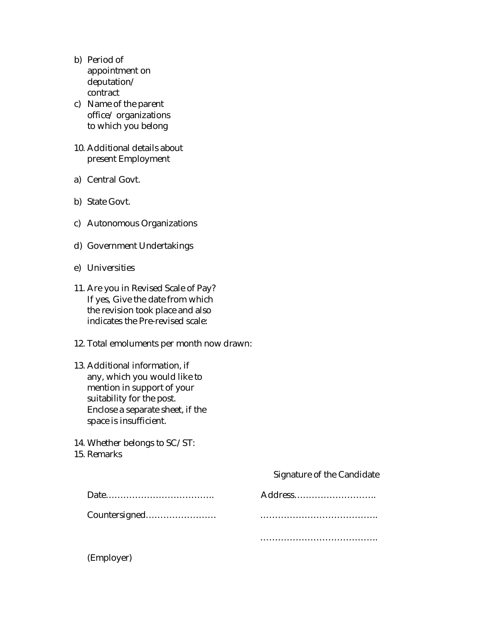- b) Period of appointment on deputation/ contract
- c) Name of the parent office/ organizations to which you belong
- 10. Additional details about present Employment
- a) Central Govt.
- b) State Govt.
- c) Autonomous Organizations
- d) Government Undertakings
- e) Universities
- 11. Are you in Revised Scale of Pay? If yes, Give the date from which the revision took place and also indicates the Pre-revised scale:
- 12. Total emoluments per month now drawn:

#### 13. Additional information, if any, which you would like to mention in support of your suitability for the post. Enclose a separate sheet, if the space is insufficient.

- 14. Whether belongs to SC/ST:
- 15. Remarks

#### Signature of the Candidate

………………………………….

|               | Address |
|---------------|---------|
| Countersigned |         |
|               |         |

#### (Employer)